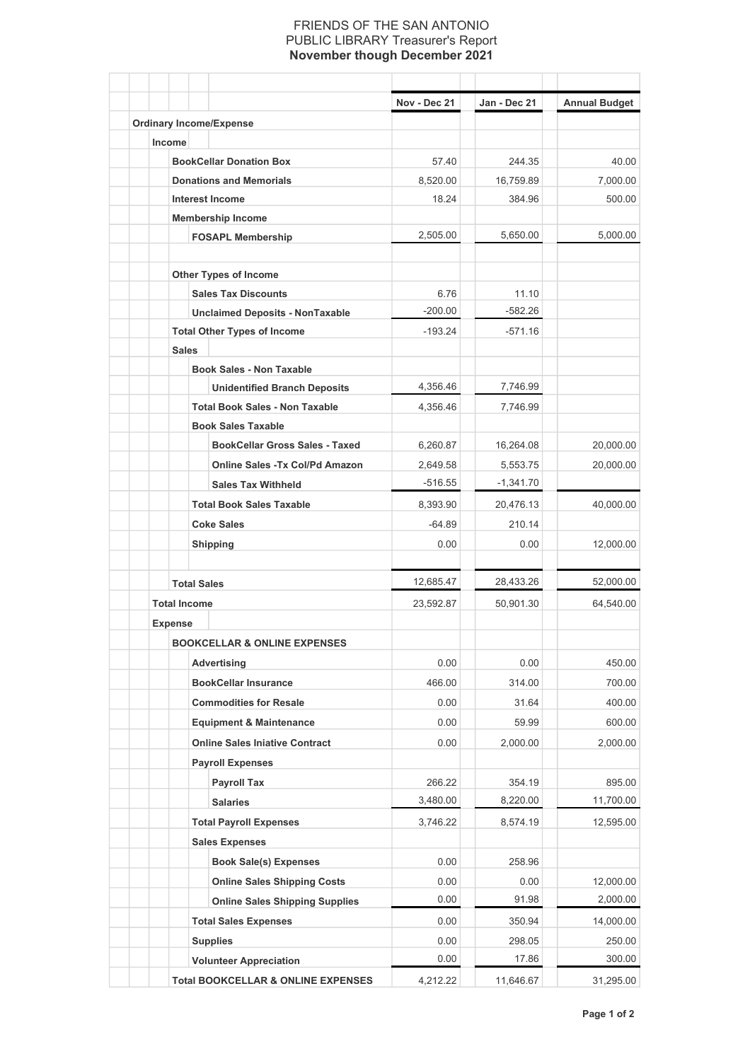## FRIENDS OF THE SAN ANTONIO PUBLIC LIBRARY Treasurer's Report **November though December 2021**

|                     |                                               | Nov - Dec 21 | Jan - Dec 21 | <b>Annual Budget</b> |
|---------------------|-----------------------------------------------|--------------|--------------|----------------------|
|                     | <b>Ordinary Income/Expense</b>                |              |              |                      |
| Income              |                                               |              |              |                      |
|                     | <b>BookCellar Donation Box</b>                | 57.40        | 244.35       | 40.00                |
|                     | <b>Donations and Memorials</b>                | 8,520.00     | 16,759.89    | 7,000.00             |
|                     | <b>Interest Income</b>                        | 18.24        | 384.96       | 500.00               |
|                     | <b>Membership Income</b>                      |              |              |                      |
|                     | <b>FOSAPL Membership</b>                      | 2,505.00     | 5,650.00     | 5,000.00             |
|                     | <b>Other Types of Income</b>                  |              |              |                      |
|                     | <b>Sales Tax Discounts</b>                    | 6.76         | 11.10        |                      |
|                     | <b>Unclaimed Deposits - NonTaxable</b>        | $-200.00$    | $-582.26$    |                      |
|                     | <b>Total Other Types of Income</b>            | $-193.24$    | $-571.16$    |                      |
| <b>Sales</b>        |                                               |              |              |                      |
|                     | <b>Book Sales - Non Taxable</b>               |              |              |                      |
|                     | <b>Unidentified Branch Deposits</b>           | 4,356.46     | 7,746.99     |                      |
|                     | <b>Total Book Sales - Non Taxable</b>         | 4,356.46     | 7,746.99     |                      |
|                     | <b>Book Sales Taxable</b>                     |              |              |                      |
|                     | <b>BookCellar Gross Sales - Taxed</b>         | 6,260.87     | 16,264.08    | 20,000.00            |
|                     | <b>Online Sales - Tx Col/Pd Amazon</b>        | 2,649.58     | 5,553.75     | 20,000.00            |
|                     | <b>Sales Tax Withheld</b>                     | $-516.55$    | $-1,341.70$  |                      |
|                     | <b>Total Book Sales Taxable</b>               | 8,393.90     | 20,476.13    | 40,000.00            |
|                     | <b>Coke Sales</b>                             | $-64.89$     | 210.14       |                      |
|                     | <b>Shipping</b>                               | 0.00         | 0.00         | 12,000.00            |
|                     | <b>Total Sales</b>                            | 12,685.47    | 28,433.26    | 52,000.00            |
| <b>Total Income</b> |                                               | 23,592.87    | 50,901.30    | 64,540.00            |
| Expense             |                                               |              |              |                      |
|                     | <b>BOOKCELLAR &amp; ONLINE EXPENSES</b>       |              |              |                      |
|                     | Advertising                                   | 0.00         | 0.00         | 450.00               |
|                     | <b>BookCellar Insurance</b>                   | 466.00       | 314.00       | 700.00               |
|                     | <b>Commodities for Resale</b>                 | 0.00         | 31.64        | 400.00               |
|                     | <b>Equipment &amp; Maintenance</b>            | 0.00         | 59.99        | 600.00               |
|                     | <b>Online Sales Iniative Contract</b>         | 0.00         | 2,000.00     | 2,000.00             |
|                     | <b>Payroll Expenses</b>                       |              |              |                      |
|                     | <b>Payroll Tax</b>                            | 266.22       | 354.19       | 895.00               |
|                     | <b>Salaries</b>                               | 3,480.00     | 8,220.00     | 11,700.00            |
|                     | <b>Total Payroll Expenses</b>                 | 3,746.22     | 8,574.19     | 12,595.00            |
|                     | <b>Sales Expenses</b>                         |              |              |                      |
|                     | <b>Book Sale(s) Expenses</b>                  | 0.00         | 258.96       |                      |
|                     | <b>Online Sales Shipping Costs</b>            | 0.00         | 0.00         | 12,000.00            |
|                     | <b>Online Sales Shipping Supplies</b>         | 0.00         | 91.98        | 2,000.00             |
|                     | <b>Total Sales Expenses</b>                   | 0.00         | 350.94       | 14,000.00            |
|                     |                                               | 0.00         | 298.05       | 250.00               |
|                     | <b>Supplies</b>                               | 0.00         | 17.86        | 300.00               |
|                     | <b>Volunteer Appreciation</b>                 |              |              |                      |
|                     | <b>Total BOOKCELLAR &amp; ONLINE EXPENSES</b> | 4,212.22     | 11,646.67    | 31,295.00            |